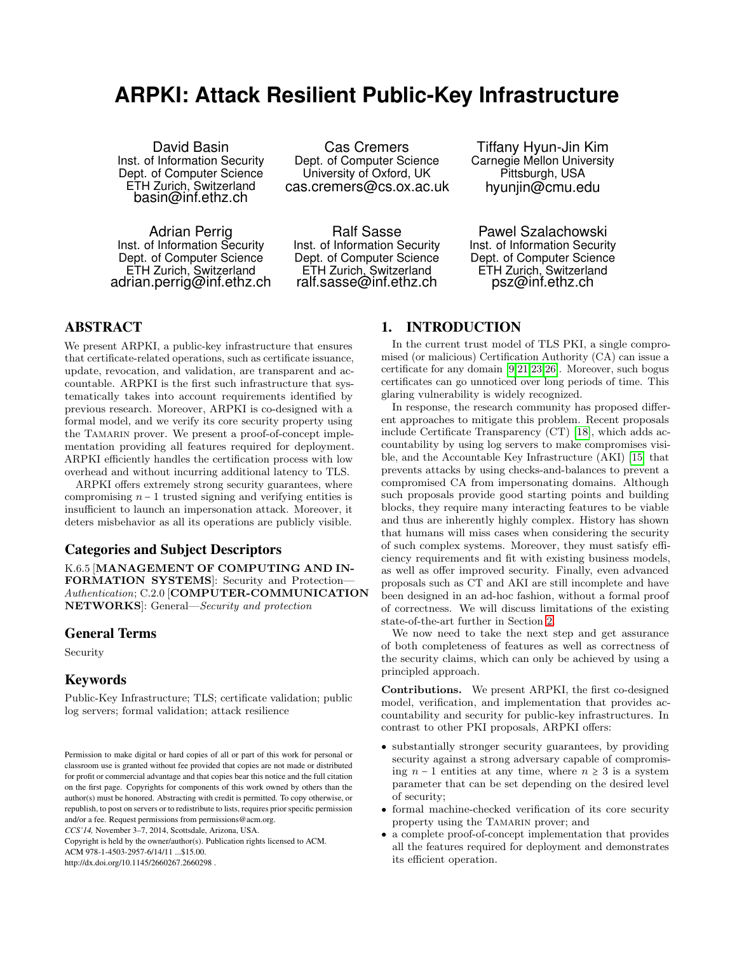# **ARPKI: Attack Resilient Public-Key Infrastructure**

David Basin Inst. of Information Security Dept. of Computer Science ETH Zurich, Switzerland basin@inf.ethz.ch

Adrian Perrig Inst. of Information Security Dept. of Computer Science ETH Zurich, Switzerland adrian.perrig@inf.ethz.ch

Cas Cremers Dept. of Computer Science University of Oxford, UK cas.cremers@cs.ox.ac.uk

Ralf Sasse Inst. of Information Security Dept. of Computer Science ETH Zurich, Switzerland ralf.sasse@inf.ethz.ch

Tiffany Hyun-Jin Kim Carnegie Mellon University Pittsburgh, USA hyunjin@cmu.edu

Pawel Szalachowski Inst. of Information Security Dept. of Computer Science ETH Zurich, Switzerland psz@inf.ethz.ch

# ABSTRACT

We present ARPKI, a public-key infrastructure that ensures that certificate-related operations, such as certificate issuance, update, revocation, and validation, are transparent and accountable. ARPKI is the first such infrastructure that systematically takes into account requirements identified by previous research. Moreover, ARPKI is co-designed with a formal model, and we verify its core security property using the TAMARIN prover. We present a proof-of-concept implementation providing all features required for deployment. ARPKI efficiently handles the certification process with low overhead and without incurring additional latency to TLS.

ARPKI offers extremely strong security guarantees, where compromising  $n - 1$  trusted signing and verifying entities is insufficient to launch an impersonation attack. Moreover, it deters misbehavior as all its operations are publicly visible.

## Categories and Subject Descriptors

K.6.5 [MANAGEMENT OF COMPUTING AND IN-FORMATION SYSTEMS]: Security and Protection— Authentication; C.2.0 [COMPUTER-COMMUNICATION NETWORKS]: General—Security and protection

#### General Terms

Security

## Keywords

Public-Key Infrastructure; TLS; certificate validation; public log servers; formal validation; attack resilience

*CCS'14,* November 3–7, 2014, Scottsdale, Arizona, USA.

Copyright is held by the owner/author(s). Publication rights licensed to ACM.

ACM 978-1-4503-2957-6/14/11 ...\$15.00.

http://dx.doi.org/10.1145/2660267.2660298 .

## 1. INTRODUCTION

In the current trust model of TLS PKI, a single compromised (or malicious) Certification Authority (CA) can issue a certificate for any domain [\[9](#page-10-0)[,21](#page-11-0)[,23](#page-11-1)[,26\]](#page-11-2). Moreover, such bogus certificates can go unnoticed over long periods of time. This glaring vulnerability is widely recognized.

In response, the research community has proposed different approaches to mitigate this problem. Recent proposals include Certificate Transparency (CT) [\[18\]](#page-11-3), which adds accountability by using log servers to make compromises visible, and the Accountable Key Infrastructure (AKI) [\[15\]](#page-11-4) that prevents attacks by using checks-and-balances to prevent a compromised CA from impersonating domains. Although such proposals provide good starting points and building blocks, they require many interacting features to be viable and thus are inherently highly complex. History has shown that humans will miss cases when considering the security of such complex systems. Moreover, they must satisfy efficiency requirements and fit with existing business models, as well as offer improved security. Finally, even advanced proposals such as CT and AKI are still incomplete and have been designed in an ad-hoc fashion, without a formal proof of correctness. We will discuss limitations of the existing state-of-the-art further in Section [2.](#page-1-0)

We now need to take the next step and get assurance of both completeness of features as well as correctness of the security claims, which can only be achieved by using a principled approach.

Contributions. We present ARPKI, the first co-designed model, verification, and implementation that provides accountability and security for public-key infrastructures. In contrast to other PKI proposals, ARPKI offers:

- substantially stronger security guarantees, by providing security against a strong adversary capable of compromising  $n-1$  entities at any time, where  $n \geq 3$  is a system parameter that can be set depending on the desired level of security;
- formal machine-checked verification of its core security property using the TAMARIN prover; and
- a complete proof-of-concept implementation that provides all the features required for deployment and demonstrates its efficient operation.

Permission to make digital or hard copies of all or part of this work for personal or classroom use is granted without fee provided that copies are not made or distributed for profit or commercial advantage and that copies bear this notice and the full citation on the first page. Copyrights for components of this work owned by others than the author(s) must be honored. Abstracting with credit is permitted. To copy otherwise, or republish, to post on servers or to redistribute to lists, requires prior specific permission and/or a fee. Request permissions from permissions@acm.org.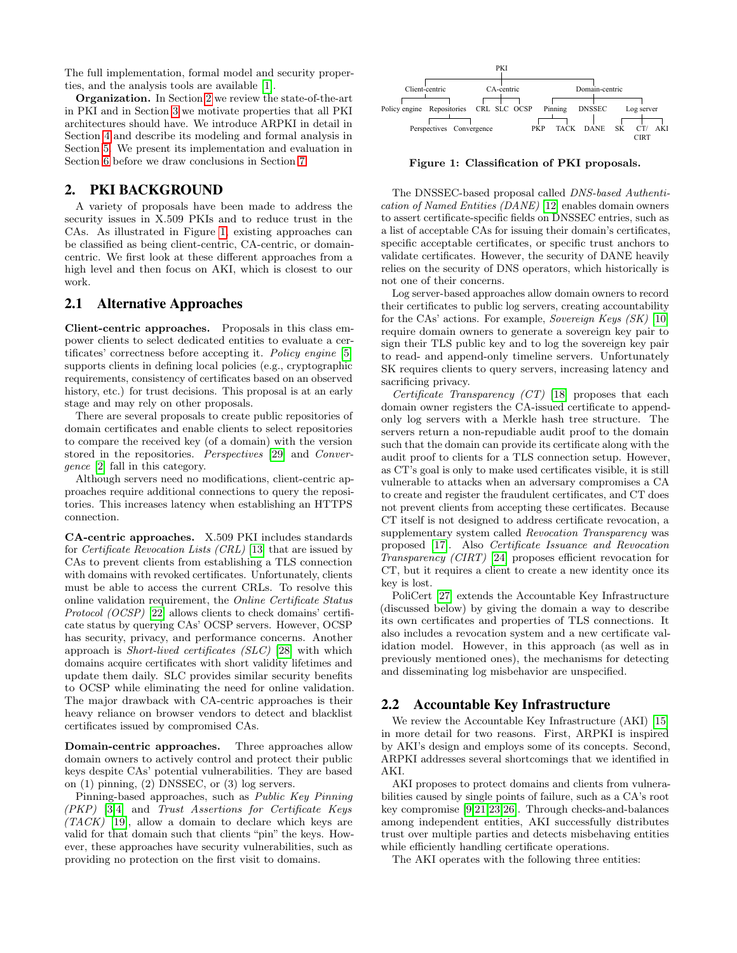The full implementation, formal model and security properties, and the analysis tools are available [\[1\]](#page-10-1).

Organization. In Section [2](#page-1-0) we review the state-of-the-art in PKI and in Section [3](#page-2-0) we motivate properties that all PKI architectures should have. We introduce ARPKI in detail in Section [4](#page-3-0) and describe its modeling and formal analysis in Section [5.](#page-5-0) We present its implementation and evaluation in Section [6](#page-8-0) before we draw conclusions in Section [7.](#page-10-2)

## <span id="page-1-0"></span>2. PKI BACKGROUND

A variety of proposals have been made to address the security issues in X.509 PKIs and to reduce trust in the CAs. As illustrated in Figure [1,](#page-1-1) existing approaches can be classified as being client-centric, CA-centric, or domaincentric. We first look at these different approaches from a high level and then focus on AKI, which is closest to our work.

#### 2.1 Alternative Approaches

Client-centric approaches. Proposals in this class empower clients to select dedicated entities to evaluate a certificates' correctness before accepting it. Policy engine [\[5\]](#page-10-3) supports clients in defining local policies (e.g., cryptographic requirements, consistency of certificates based on an observed history, etc.) for trust decisions. This proposal is at an early stage and may rely on other proposals.

There are several proposals to create public repositories of domain certificates and enable clients to select repositories to compare the received key (of a domain) with the version stored in the repositories. Perspectives [\[29\]](#page-11-5) and Convergence [\[2\]](#page-10-4) fall in this category.

Although servers need no modifications, client-centric approaches require additional connections to query the repositories. This increases latency when establishing an HTTPS connection.

CA-centric approaches. X.509 PKI includes standards for Certificate Revocation Lists (CRL) [\[13\]](#page-11-6) that are issued by CAs to prevent clients from establishing a TLS connection with domains with revoked certificates. Unfortunately, clients must be able to access the current CRLs. To resolve this online validation requirement, the Online Certificate Status Protocol (OCSP) [\[22\]](#page-11-7) allows clients to check domains' certificate status by querying CAs' OCSP servers. However, OCSP has security, privacy, and performance concerns. Another approach is Short-lived certificates (SLC) [\[28\]](#page-11-8) with which domains acquire certificates with short validity lifetimes and update them daily. SLC provides similar security benefits to OCSP while eliminating the need for online validation. The major drawback with CA-centric approaches is their heavy reliance on browser vendors to detect and blacklist certificates issued by compromised CAs.

Domain-centric approaches. Three approaches allow domain owners to actively control and protect their public keys despite CAs' potential vulnerabilities. They are based on (1) pinning, (2) DNSSEC, or (3) log servers.

Pinning-based approaches, such as Public Key Pinning (PKP) [\[3](#page-10-5)[,4\]](#page-10-6) and Trust Assertions for Certificate Keys  $(TACK)$  [\[19\]](#page-11-9), allow a domain to declare which keys are valid for that domain such that clients "pin" the keys. However, these approaches have security vulnerabilities, such as providing no protection on the first visit to domains.



<span id="page-1-1"></span>Figure 1: Classification of PKI proposals.

The DNSSEC-based proposal called DNS-based Authentication of Named Entities (DANE) [\[12\]](#page-10-7) enables domain owners to assert certificate-specific fields on DNSSEC entries, such as a list of acceptable CAs for issuing their domain's certificates, specific acceptable certificates, or specific trust anchors to validate certificates. However, the security of DANE heavily relies on the security of DNS operators, which historically is not one of their concerns.

Log server-based approaches allow domain owners to record their certificates to public log servers, creating accountability for the CAs' actions. For example, Sovereign Keys (SK) [\[10\]](#page-10-8) require domain owners to generate a sovereign key pair to sign their TLS public key and to log the sovereign key pair to read- and append-only timeline servers. Unfortunately SK requires clients to query servers, increasing latency and sacrificing privacy.

Certificate Transparency  $(CT)$  [\[18\]](#page-11-3) proposes that each domain owner registers the CA-issued certificate to appendonly log servers with a Merkle hash tree structure. The servers return a non-repudiable audit proof to the domain such that the domain can provide its certificate along with the audit proof to clients for a TLS connection setup. However, as CT's goal is only to make used certificates visible, it is still vulnerable to attacks when an adversary compromises a CA to create and register the fraudulent certificates, and CT does not prevent clients from accepting these certificates. Because CT itself is not designed to address certificate revocation, a supplementary system called Revocation Transparency was proposed [\[17\]](#page-11-10). Also Certificate Issuance and Revocation Transparency (CIRT) [\[24\]](#page-11-11) proposes efficient revocation for CT, but it requires a client to create a new identity once its key is lost.

PoliCert [\[27\]](#page-11-12) extends the Accountable Key Infrastructure (discussed below) by giving the domain a way to describe its own certificates and properties of TLS connections. It also includes a revocation system and a new certificate validation model. However, in this approach (as well as in previously mentioned ones), the mechanisms for detecting and disseminating log misbehavior are unspecified.

#### 2.2 Accountable Key Infrastructure

We review the Accountable Key Infrastructure (AKI) [\[15\]](#page-11-4) in more detail for two reasons. First, ARPKI is inspired by AKI's design and employs some of its concepts. Second, ARPKI addresses several shortcomings that we identified in AKI.

AKI proposes to protect domains and clients from vulnerabilities caused by single points of failure, such as a CA's root key compromise [\[9,](#page-10-0)[21](#page-11-0)[,23,](#page-11-1)[26\]](#page-11-2). Through checks-and-balances among independent entities, AKI successfully distributes trust over multiple parties and detects misbehaving entities while efficiently handling certificate operations.

The AKI operates with the following three entities: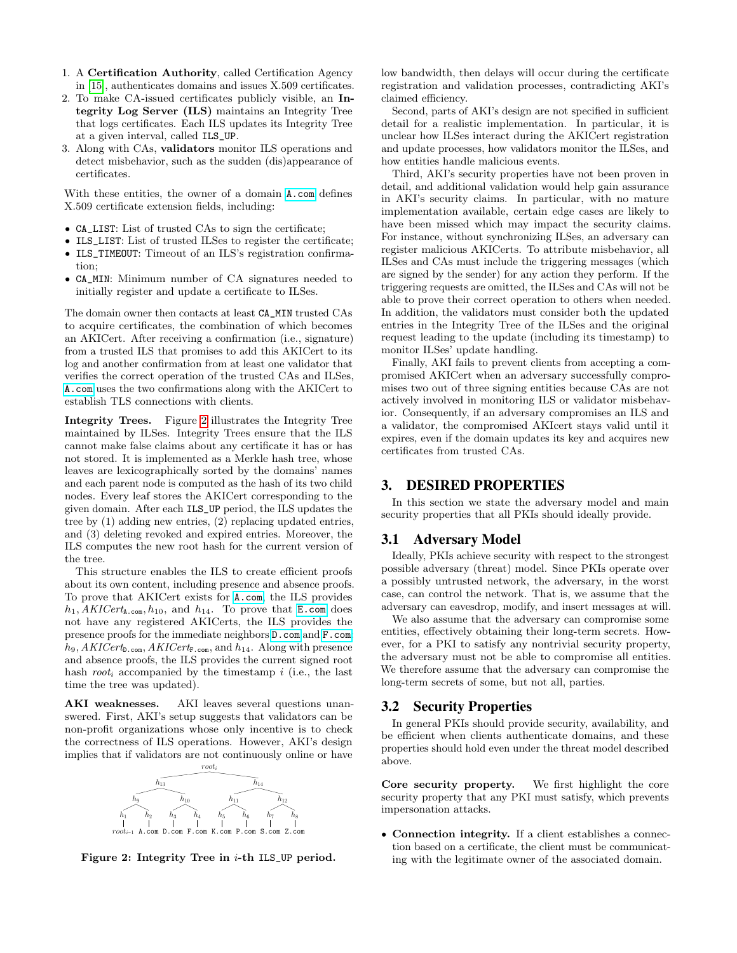- 1. A Certification Authority, called Certification Agency in [\[15\]](#page-11-4), authenticates domains and issues X.509 certificates.
- 2. To make CA-issued certificates publicly visible, an Integrity Log Server (ILS) maintains an Integrity Tree that logs certificates. Each ILS updates its Integrity Tree at a given interval, called ILS\_UP.
- 3. Along with CAs, validators monitor ILS operations and detect misbehavior, such as the sudden (dis)appearance of certificates.

With these entities, the owner of a domain <A.com> defines X.509 certificate extension fields, including:

- CA\_LIST: List of trusted CAs to sign the certificate;
- ILS\_LIST: List of trusted ILSes to register the certificate;
- ILS\_TIMEOUT: Timeout of an ILS's registration confirmation;
- CA\_MIN: Minimum number of CA signatures needed to initially register and update a certificate to ILSes.

The domain owner then contacts at least CA\_MIN trusted CAs to acquire certificates, the combination of which becomes an AKICert. After receiving a confirmation (i.e., signature) from a trusted ILS that promises to add this AKICert to its log and another confirmation from at least one validator that verifies the correct operation of the trusted CAs and ILSes, <A.com> uses the two confirmations along with the AKICert to establish TLS connections with clients.

Integrity Trees. Figure [2](#page-2-1) illustrates the Integrity Tree maintained by ILSes. Integrity Trees ensure that the ILS cannot make false claims about any certificate it has or has not stored. It is implemented as a Merkle hash tree, whose leaves are lexicographically sorted by the domains' names and each parent node is computed as the hash of its two child nodes. Every leaf stores the AKICert corresponding to the given domain. After each ILS\_UP period, the ILS updates the tree by (1) adding new entries, (2) replacing updated entries, and (3) deleting revoked and expired entries. Moreover, the ILS computes the new root hash for the current version of the tree.

This structure enables the ILS to create efficient proofs about its own content, including presence and absence proofs. To prove that AKICert exists for <A.com>, the ILS provides  $h_1, AKICert_{A.com}, h_{10},$  and  $h_{14}$ . To prove that **<E.com>** does not have any registered AKICerts, the ILS provides the presence proofs for the immediate neighbors <D.com> and <F.com>:  $h_9$ ,  $AKICert_{\text{D.com}}$ ,  $AKICert_{\text{F.com}}$ , and  $h_{14}$ . Along with presence and absence proofs, the ILS provides the current signed root hash root<sub>i</sub> accompanied by the timestamp  $i$  (i.e., the last time the tree was updated).

AKI weaknesses. AKI leaves several questions unanswered. First, AKI's setup suggests that validators can be non-profit organizations whose only incentive is to check the correctness of ILS operations. However, AKI's design implies that if validators are not continuously online or have



<span id="page-2-1"></span>Figure 2: Integrity Tree in *i*-th ILS\_UP period.

low bandwidth, then delays will occur during the certificate registration and validation processes, contradicting AKI's claimed efficiency.

Second, parts of AKI's design are not specified in sufficient detail for a realistic implementation. In particular, it is unclear how ILSes interact during the AKICert registration and update processes, how validators monitor the ILSes, and how entities handle malicious events.

Third, AKI's security properties have not been proven in detail, and additional validation would help gain assurance in AKI's security claims. In particular, with no mature implementation available, certain edge cases are likely to have been missed which may impact the security claims. For instance, without synchronizing ILSes, an adversary can register malicious AKICerts. To attribute misbehavior, all ILSes and CAs must include the triggering messages (which are signed by the sender) for any action they perform. If the triggering requests are omitted, the ILSes and CAs will not be able to prove their correct operation to others when needed. In addition, the validators must consider both the updated entries in the Integrity Tree of the ILSes and the original request leading to the update (including its timestamp) to monitor ILSes' update handling.

Finally, AKI fails to prevent clients from accepting a compromised AKICert when an adversary successfully compromises two out of three signing entities because CAs are not actively involved in monitoring ILS or validator misbehavior. Consequently, if an adversary compromises an ILS and a validator, the compromised AKIcert stays valid until it expires, even if the domain updates its key and acquires new certificates from trusted CAs.

## <span id="page-2-0"></span>3. DESIRED PROPERTIES

In this section we state the adversary model and main security properties that all PKIs should ideally provide.

#### 3.1 Adversary Model

Ideally, PKIs achieve security with respect to the strongest possible adversary (threat) model. Since PKIs operate over a possibly untrusted network, the adversary, in the worst case, can control the network. That is, we assume that the adversary can eavesdrop, modify, and insert messages at will.

We also assume that the adversary can compromise some entities, effectively obtaining their long-term secrets. However, for a PKI to satisfy any nontrivial security property, the adversary must not be able to compromise all entities. We therefore assume that the adversary can compromise the long-term secrets of some, but not all, parties.

#### 3.2 Security Properties

In general PKIs should provide security, availability, and be efficient when clients authenticate domains, and these properties should hold even under the threat model described above.

Core security property. We first highlight the core security property that any PKI must satisfy, which prevents impersonation attacks.

● Connection integrity. If a client establishes a connection based on a certificate, the client must be communicating with the legitimate owner of the associated domain.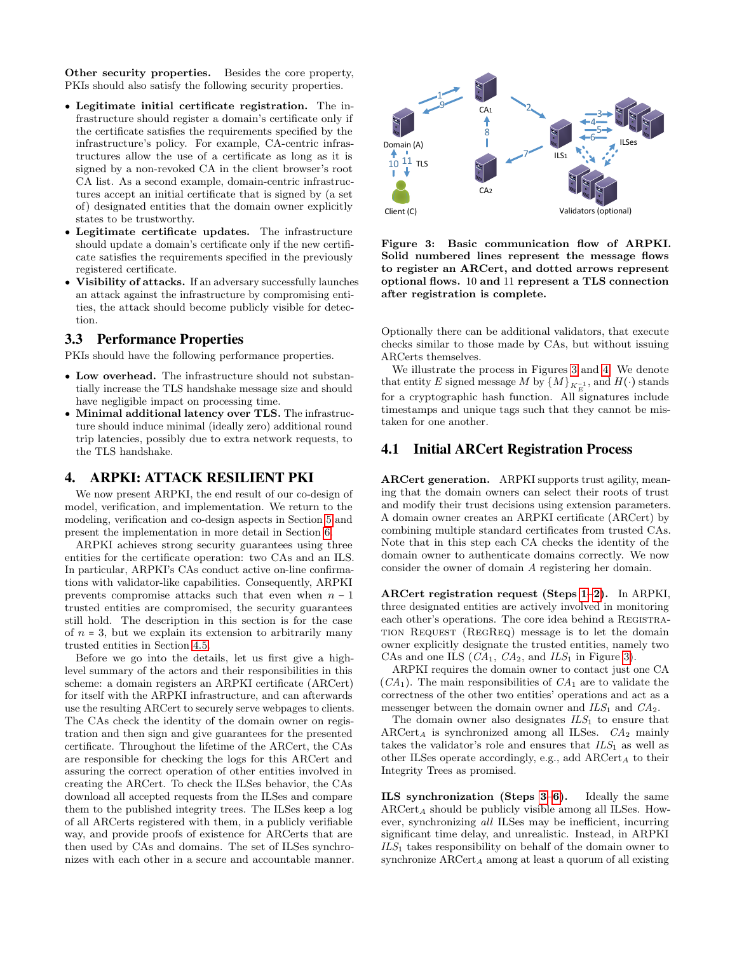Other security properties. Besides the core property, PKIs should also satisfy the following security properties.

- Legitimate initial certificate registration. The infrastructure should register a domain's certificate only if the certificate satisfies the requirements specified by the infrastructure's policy. For example, CA-centric infrastructures allow the use of a certificate as long as it is signed by a non-revoked CA in the client browser's root CA list. As a second example, domain-centric infrastructures accept an initial certificate that is signed by (a set of) designated entities that the domain owner explicitly states to be trustworthy.
- Legitimate certificate updates. The infrastructure should update a domain's certificate only if the new certificate satisfies the requirements specified in the previously registered certificate.
- Visibility of attacks. If an adversary successfully launches an attack against the infrastructure by compromising entities, the attack should become publicly visible for detection.

#### 3.3 Performance Properties

PKIs should have the following performance properties.

- Low overhead. The infrastructure should not substantially increase the TLS handshake message size and should have negligible impact on processing time.
- Minimal additional latency over TLS. The infrastructure should induce minimal (ideally zero) additional round trip latencies, possibly due to extra network requests, to the TLS handshake.

#### <span id="page-3-0"></span>4. ARPKI: ATTACK RESILIENT PKI

We now present ARPKI, the end result of our co-design of model, verification, and implementation. We return to the modeling, verification and co-design aspects in Section [5](#page-5-0) and present the implementation in more detail in Section [6.](#page-8-0)

ARPKI achieves strong security guarantees using three entities for the certificate operation: two CAs and an ILS. In particular, ARPKI's CAs conduct active on-line confirmations with validator-like capabilities. Consequently, ARPKI prevents compromise attacks such that even when  $n-1$ trusted entities are compromised, the security guarantees still hold. The description in this section is for the case of  $n = 3$ , but we explain its extension to arbitrarily many trusted entities in Section [4.5.](#page-5-1)

Before we go into the details, let us first give a highlevel summary of the actors and their responsibilities in this scheme: a domain registers an ARPKI certificate (ARCert) for itself with the ARPKI infrastructure, and can afterwards use the resulting ARCert to securely serve webpages to clients. The CAs check the identity of the domain owner on registration and then sign and give guarantees for the presented certificate. Throughout the lifetime of the ARCert, the CAs are responsible for checking the logs for this ARCert and assuring the correct operation of other entities involved in creating the ARCert. To check the ILSes behavior, the CAs download all accepted requests from the ILSes and compare them to the published integrity trees. The ILSes keep a log of all ARCerts registered with them, in a publicly verifiable way, and provide proofs of existence for ARCerts that are then used by CAs and domains. The set of ILSes synchronizes with each other in a secure and accountable manner.



<span id="page-3-1"></span>Figure 3: Basic communication flow of ARPKI. Solid numbered lines represent the message flows to register an ARCert, and dotted arrows represent optional flows. 10 and 11 represent a TLS connection after registration is complete.

Optionally there can be additional validators, that execute checks similar to those made by CAs, but without issuing ARCerts themselves.

We illustrate the process in Figures [3](#page-3-1) and [4.](#page-4-0) We denote that entity E signed message M by  $\{M\}_{K_F^{-1}}$ , and  $H(\cdot)$  stands for a cryptographic hash function. All signatures include timestamps and unique tags such that they cannot be mistaken for one another.

## 4.1 Initial ARCert Registration Process

ARCert generation. ARPKI supports trust agility, meaning that the domain owners can select their roots of trust and modify their trust decisions using extension parameters. A domain owner creates an ARPKI certificate (ARCert) by combining multiple standard certificates from trusted CAs. Note that in this step each CA checks the identity of the domain owner to authenticate domains correctly. We now consider the owner of domain A registering her domain.

ARCert registration request (Steps [1](#page-4-1)[–2\)](#page-4-2). In ARPKI, three designated entities are actively involved in monitoring each other's operations. The core idea behind a REGISTRAtion Request (RegReq) message is to let the domain owner explicitly designate the trusted entities, namely two CAs and one ILS  $(CA_1, CA_2, \text{ and } ILS_1 \text{ in Figure 3}).$ 

ARPKI requires the domain owner to contact just one CA  $(CA<sub>1</sub>)$ . The main responsibilities of  $CA<sub>1</sub>$  are to validate the correctness of the other two entities' operations and act as a messenger between the domain owner and  $ILS_1$  and  $CA_2$ .

The domain owner also designates  $ILS<sub>1</sub>$  to ensure that  $\text{ARCert}_A$  is synchronized among all ILSes.  $CA_2$  mainly takes the validator's role and ensures that  $ILS<sub>1</sub>$  as well as other ILSes operate accordingly, e.g., add  $\text{ARCert}_A$  to their Integrity Trees as promised.

ILS synchronization (Steps [3–](#page-4-3)[6\)](#page-4-4). Ideally the same  $\text{ARCert}_A$  should be publicly visible among all ILSes. However, synchronizing all ILSes may be inefficient, incurring significant time delay, and unrealistic. Instead, in ARPKI  $ILS<sub>1</sub>$  takes responsibility on behalf of the domain owner to synchronize  $\text{ARCert}_A$  among at least a quorum of all existing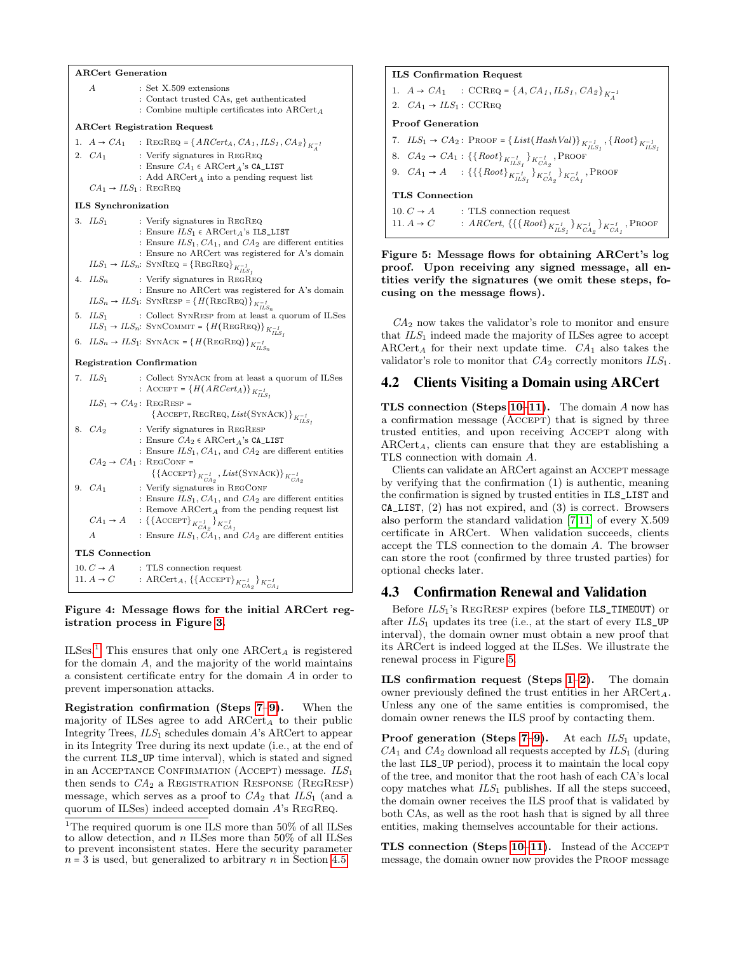#### ARCert Generation

<span id="page-4-12"></span><span id="page-4-4"></span><span id="page-4-3"></span><span id="page-4-2"></span><span id="page-4-1"></span>

| А                                              | : Set X.509 extensions<br>: Contact trusted CAs, get authenticated<br>: Combine multiple certificates into $\mathrm{ARCert}_A$                                                                                                                                         |  |  |  |  |
|------------------------------------------------|------------------------------------------------------------------------------------------------------------------------------------------------------------------------------------------------------------------------------------------------------------------------|--|--|--|--|
| <b>ARCert Registration Request</b>             |                                                                                                                                                                                                                                                                        |  |  |  |  |
| 1.                                             | $A \rightarrow CA_1$ : REGREQ = { $ARCert_A, CA_1, ILS_1, CA_2$ } <sub>K-1</sub>                                                                                                                                                                                       |  |  |  |  |
| 2. $CA1$                                       | : Verify signatures in REGREQ<br>: Ensure $CA_1 \in \text{ARCert}_A$ 's CA_LIST<br>: Add $\text{ARCert}_A$ into a pending request list<br>$CA_1 \rightarrow ILS_1$ : REGREQ                                                                                            |  |  |  |  |
| ILS Synchronization                            |                                                                                                                                                                                                                                                                        |  |  |  |  |
| 3. $ILS_1$                                     | : Verify signatures in REGREQ<br>: Ensure $ILS_1 \in \text{ARCert}_A$ 's ILS_LIST<br>: Ensure $ILS_1$ , $CA_1$ , and $CA_2$ are different entities<br>: Ensure no ARCert was registered for A's domain<br>$ILS_1 \rightarrow ILS_n$ : SYNREQ = {REGREQ} $_{K_{ILS_1}}$ |  |  |  |  |
| 4. $ILS_n$                                     | : Verify signatures in REGREQ<br>: Ensure no ARCert was registered for A's domain<br>$ILS_n \rightarrow ILS_1$ : SYNRESP = { $H(\text{REGReg})$ } $_{K_{ILS_n}}$                                                                                                       |  |  |  |  |
| 5. $ILS_1$                                     | : Collect SYNRESP from at least a quorum of ILSes<br>$ILS_1 \rightarrow ILS_n$ : SYNCOMMIT = { $H(\text{REGReQ})\}_{K_{ILS}^{-1}}$                                                                                                                                     |  |  |  |  |
|                                                | 6. $ILS_n \rightarrow ILS_1$ : SYNACK = { $H(\text{REGReg})$ } <sub>K<sub>ILS</sub><sub>n</sub></sub>                                                                                                                                                                  |  |  |  |  |
| <b>Registration Confirmation</b>               |                                                                                                                                                                                                                                                                        |  |  |  |  |
| 7. ILS1                                        | : Collect SYNACK from at least a quorum of ILSes<br>: ACCEPT = ${H(ARCH_A)}_{K_{H\sigma}^{-1}}$                                                                                                                                                                        |  |  |  |  |
|                                                | $ILS_1 \rightarrow CA_2$ : REGRESP =<br>${ \text{Accept} \text{R} \text{EGReg}, \text{List}(\text{SYNACK}) \}_{K_{ILS}^{-1}}$                                                                                                                                          |  |  |  |  |
| 8. CA <sub>2</sub>                             | : Verify signatures in REGRESP<br>: Ensure $CA_2 \in \text{ARCert}_A$ 's CA_LIST<br>: Ensure $ILS_1$ , $CA_1$ , and $CA_2$ are different entities                                                                                                                      |  |  |  |  |
|                                                | $CA_2 \rightarrow CA_1$ : REGCONF =<br>$\left\{\left\{\text{Accept}\right\}_{K_{C\!A_2}^{-1}}, List\left(\text{SYNACK}\right)\right\}_{K_{C\!A_2}^{-1}}$                                                                                                               |  |  |  |  |
| 9. $CA1$                                       | : Verify signatures in REGCONF<br>: Ensure $ILS_1$ , $CA_1$ , and $CA_2$ are different entities<br>: $\mathrm{Remove}\,\,\mathrm{ARCert}_A$ from the pending request list                                                                                              |  |  |  |  |
|                                                | $\label{eq:CA1} CA_1 \rightarrow A \quad : \; \big\{ \big\{ \text{ACEPT} \big\}_{K^{-1}_{CA_2}} \; \big\}_{K^{-1}_{CA_1}}$                                                                                                                                             |  |  |  |  |
| $\overline{A}$                                 | : Ensure $ILS_1$ , $CA_1$ , and $CA_2$ are different entities                                                                                                                                                                                                          |  |  |  |  |
| TLS Connection                                 |                                                                                                                                                                                                                                                                        |  |  |  |  |
| 10. $C \rightarrow A$<br>11. $A \rightarrow C$ | : TLS connection request<br>: $\text{ARCert}_{A}, \, \{\{\text{ACEPT}\}_{K^{-1}_{CA_2}}\}_{K^{-1}_{CA_1}}$                                                                                                                                                             |  |  |  |  |

#### <span id="page-4-13"></span><span id="page-4-9"></span><span id="page-4-8"></span><span id="page-4-7"></span><span id="page-4-6"></span><span id="page-4-0"></span>Figure 4: Message flows for the initial ARCert registration process in Figure [3.](#page-3-1)

 $ILSes.<sup>1</sup>$  $ILSes.<sup>1</sup>$  $ILSes.<sup>1</sup>$  This ensures that only one  $ARCert_A$  is registered for the domain A, and the majority of the world maintains a consistent certificate entry for the domain A in order to prevent impersonation attacks.

Registration confirmation (Steps [7–](#page-4-6)[9\)](#page-4-7). When the majority of ILSes agree to add  $ARCert_A$  to their public Integrity Trees,  $ILS<sub>1</sub>$  schedules domain A's ARCert to appear in its Integrity Tree during its next update (i.e., at the end of the current ILS\_UP time interval), which is stated and signed in an ACCEPTANCE CONFIRMATION  $(ACCEPT)$  message.  $ILS<sub>1</sub>$ then sends to  $CA_2$  a REGISTRATION RESPONSE (REGRESP) message, which serves as a proof to  $CA_2$  that  $ILS_1$  (and a quorum of ILSes) indeed accepted domain A's RegReq.

#### ILS Confirmation Request

1.  $A \rightarrow CA_1$  : CCREQ = {A, CA<sub>1</sub>, ILS<sub>1</sub>, CA<sub>2</sub>}<sub>K<sub> $_A^{-1}$ </sub></sub> 2.  $CA_1 \rightarrow ILS_1$ : CCREQ

#### Proof Generation

7.  $ILS_1 \rightarrow CA_2$ : Proof = {List(HashVal)} $_{K_{ILS_1}^{-1}}$ , {Root} $_{K_{ILS_1}^{-1}}$ 

8. CA<sub>2</sub> → CA<sub>1</sub>: {{Root}<sub>K<sup>-1</sup></sup><sub>ILS<sub>1</sub></sub>}<sub>K<sup>-1</sup></sup><sub>CA<sub>2</sub></sub>},PROOF</sub></sub>

9.  $CA_1 \rightarrow A$  : {{ $\{Root\}_{K_{ILS_1}^{-1}}$ } $_{K_{CA_2}^{-1}}$ } $_{K_{CA_1}^{-1}}$ , Proof

#### TLS Connection

10.  $C \rightarrow A$  : TLS connection request 11. A → C : ARCert,  $\{\{\text{Root}\}_{K_{ILS_1}^{-1}}\}_{K_{CA_2}^{-1}}\}_{K_{CA_1}^{-1}}$ , Proof

<span id="page-4-10"></span>Figure 5: Message flows for obtaining ARCert's log proof. Upon receiving any signed message, all entities verify the signatures (we omit these steps, focusing on the message flows).

 $CA<sub>2</sub>$  now takes the validator's role to monitor and ensure that  $ILS<sub>1</sub>$  indeed made the majority of ILSes agree to accept ARCert<sub>A</sub> for their next update time.  $CA<sub>1</sub>$  also takes the validator's role to monitor that  $CA_2$  correctly monitors  $ILS_1$ .

#### <span id="page-4-11"></span>4.2 Clients Visiting a Domain using ARCert

TLS connection (Steps [10–](#page-4-8)[11\)](#page-4-9). The domain A now has a confirmation message (Accept) that is signed by three trusted entities, and upon receiving Accept along with  $\text{ARCert}_A$ , clients can ensure that they are establishing a TLS connection with domain A.

Clients can validate an ARCert against an Accept message by verifying that the confirmation (1) is authentic, meaning the confirmation is signed by trusted entities in ILS\_LIST and CA\_LIST, (2) has not expired, and (3) is correct. Browsers also perform the standard validation [\[7](#page-10-9)[,11\]](#page-10-10) of every X.509 certificate in ARCert. When validation succeeds, clients accept the TLS connection to the domain A. The browser can store the root (confirmed by three trusted parties) for optional checks later.

#### 4.3 Confirmation Renewal and Validation

Before  $ILS_1$ 's REGRESP expires (before ILS\_TIMEOUT) or after  $ILS_1$  updates its tree (i.e., at the start of every  $ILS_UP$ interval), the domain owner must obtain a new proof that its ARCert is indeed logged at the ILSes. We illustrate the renewal process in Figure [5.](#page-4-10)

ILS confirmation request (Steps [1–](#page-4-1)[2\)](#page-4-2). The domain owner previously defined the trust entities in her  $\rm ARCert_{4}.$ Unless any one of the same entities is compromised, the domain owner renews the ILS proof by contacting them.

**Proof generation (Steps [7–](#page-4-6)[9\)](#page-4-7).** At each  $ILS_1$  update,  $CA<sub>1</sub>$  and  $CA<sub>2</sub>$  download all requests accepted by  $ILS<sub>1</sub>$  (during the last ILS\_UP period), process it to maintain the local copy of the tree, and monitor that the root hash of each CA's local copy matches what  $ILS<sub>1</sub>$  publishes. If all the steps succeed, the domain owner receives the ILS proof that is validated by both CAs, as well as the root hash that is signed by all three entities, making themselves accountable for their actions.

TLS connection (Steps [10](#page-4-8)[–11\)](#page-4-9). Instead of the ACCEPT message, the domain owner now provides the PROOF message

<span id="page-4-5"></span> $^1\rm{The}$  required quorum is one ILS more than 50% of all ILSes to allow detection, and  $n$  ILSes more than 50% of all ILSes to prevent inconsistent states. Here the security parameter  $n = 3$  is used, but generalized to arbitrary n in Section [4.5.](#page-5-1)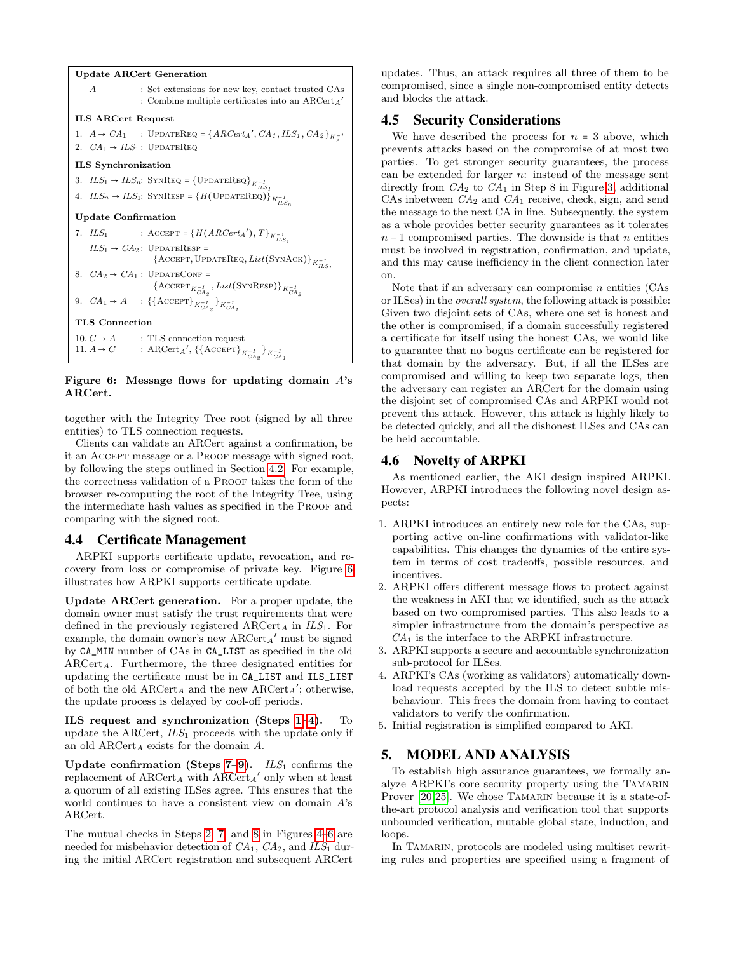```
Update ARCert Generation
     A : Set extensions for new key, contact trusted CAs
                        : Combine multiple certificates into an \mathrm{ARCert}_A′
ILS ARCert Request
1. A \rightarrow CA_1 : UPDATEREQ = {ARCert_A', CA_1, ILS_1, CA_2}<sub>K<sub>A</sub><sup>1</sup></sup></sub>
2. CA_1 \rightarrow ILS_1: UpdateReq
ILS Synchronization
3. ILS_1 \rightarrow ILS_n: SYNREQ = {UPDATEREQ}K_{II}^{-1}4. ILS_n → ILS_1: SYNRESP = {H(UPDATEREQ)}K_{ILS_n}^{-1}Update Confirmation
7. ILS_1 : ACCEPT = {H(ARCert_{A}'), T}<sub>K<sup>-1</sup><sub>ILS<sub>1</sub></sub></sub>
     ILS_1 \rightarrow CA_2: UpdateResp =
                              \left\{\text{Accept}, \text{UPDATEReQ}, \text{List}(\text{SYNACK})\right\}_{K^{-1}_{ILS_I}}8. CA_2 \rightarrow CA_1: UpdateConf =
                              \{\text{Accept}_{K_{CA_2}^{-1}}, \text{List}(\text{SynResP})\}_{K_{CA_2}^{-1}}9. CA_1 \rightarrow A : {{ACCEPT}K_{CA_2}^{-1}}K_{CA_1}^{-1}TLS Connection
10. C \rightarrow A : TLS connection request<br>11. A \rightarrow C : ARCert<sub>A</sub>', {{ACCEPT}
11. A \rightarrow C : ARCert<sub>A</sub>', {{ACCEPT}<sub>K<sup>-1</sup><sub>C</sub>A<sub>2</sub>}<sub>K</sub><sup>-1</sup><sub>CA<sub>1</sub></sub>}<sub>K</sub><sup>-1</sup><sub>CA<sub>1</sub></sub>}</sub>
```
#### <span id="page-5-2"></span>Figure 6: Message flows for updating domain A's ARCert.

together with the Integrity Tree root (signed by all three entities) to TLS connection requests.

Clients can validate an ARCert against a confirmation, be it an Accept message or a Proof message with signed root, by following the steps outlined in Section [4.2.](#page-4-11) For example, the correctness validation of a PROOF takes the form of the browser re-computing the root of the Integrity Tree, using the intermediate hash values as specified in the PROOF and comparing with the signed root.

#### 4.4 Certificate Management

ARPKI supports certificate update, revocation, and recovery from loss or compromise of private key. Figure [6](#page-5-2) illustrates how ARPKI supports certificate update.

Update ARCert generation. For a proper update, the domain owner must satisfy the trust requirements that were defined in the previously registered  $\text{ARCert}_A$  in  $ILS_1$ . For example, the domain owner's new  $\mathrm{ARCert}_A'$  must be signed by CA\_MIN number of CAs in CA\_LIST as specified in the old  $ARCert_A$ . Furthermore, the three designated entities for updating the certificate must be in CA\_LIST and ILS\_LIST of both the old  $\text{ARCert}_A$  and the new  $\text{ARCert}_A$ '; otherwise, the update process is delayed by cool-off periods.

ILS request and synchronization (Steps [1–](#page-4-1)[4\)](#page-4-12). To update the ARCert,  $ILS<sub>1</sub>$  proceeds with the update only if an old  $\text{ARCert}_A$  exists for the domain A.

Update confirmation (Steps  $7-9$ ).  $ILS<sub>1</sub>$  confirms the replacement of  $\text{ARCert}_A$  with  $\text{ARCert}_A'$  only when at least a quorum of all existing ILSes agree. This ensures that the world continues to have a consistent view on domain A's ARCert.

The mutual checks in Steps [2,](#page-4-2) [7,](#page-4-6) and [8](#page-4-13) in Figures [4–](#page-4-0)[6](#page-5-2) are needed for misbehavior detection of  $CA_1$ ,  $CA_2$ , and  $ILS_1$  during the initial ARCert registration and subsequent ARCert updates. Thus, an attack requires all three of them to be compromised, since a single non-compromised entity detects and blocks the attack.

## <span id="page-5-1"></span>4.5 Security Considerations

We have described the process for  $n = 3$  above, which prevents attacks based on the compromise of at most two parties. To get stronger security guarantees, the process can be extended for larger  $n$ : instead of the message sent directly from  $CA_2$  to  $CA_1$  in Step 8 in Figure [3,](#page-3-1) additional CAs inbetween  $CA_2$  and  $CA_1$  receive, check, sign, and send the message to the next CA in line. Subsequently, the system as a whole provides better security guarantees as it tolerates  $n-1$  compromised parties. The downside is that n entities must be involved in registration, confirmation, and update, and this may cause inefficiency in the client connection later on.

Note that if an adversary can compromise  $n$  entities (CAs or ILSes) in the overall system, the following attack is possible: Given two disjoint sets of CAs, where one set is honest and the other is compromised, if a domain successfully registered a certificate for itself using the honest CAs, we would like to guarantee that no bogus certificate can be registered for that domain by the adversary. But, if all the ILSes are compromised and willing to keep two separate logs, then the adversary can register an ARCert for the domain using the disjoint set of compromised CAs and ARPKI would not prevent this attack. However, this attack is highly likely to be detected quickly, and all the dishonest ILSes and CAs can be held accountable.

#### 4.6 Novelty of ARPKI

As mentioned earlier, the AKI design inspired ARPKI. However, ARPKI introduces the following novel design aspects:

- 1. ARPKI introduces an entirely new role for the CAs, supporting active on-line confirmations with validator-like capabilities. This changes the dynamics of the entire system in terms of cost tradeoffs, possible resources, and incentives.
- 2. ARPKI offers different message flows to protect against the weakness in AKI that we identified, such as the attack based on two compromised parties. This also leads to a simpler infrastructure from the domain's perspective as  $CA<sub>1</sub>$  is the interface to the ARPKI infrastructure.
- 3. ARPKI supports a secure and accountable synchronization sub-protocol for ILSes.
- 4. ARPKI's CAs (working as validators) automatically download requests accepted by the ILS to detect subtle misbehaviour. This frees the domain from having to contact validators to verify the confirmation.
- 5. Initial registration is simplified compared to AKI.

## <span id="page-5-0"></span>5. MODEL AND ANALYSIS

To establish high assurance guarantees, we formally analyze ARPKI's core security property using the Tamarin Prover [\[20,](#page-11-13)[25\]](#page-11-14). We chose TAMARIN because it is a state-ofthe-art protocol analysis and verification tool that supports unbounded verification, mutable global state, induction, and loops.

In Tamarin, protocols are modeled using multiset rewriting rules and properties are specified using a fragment of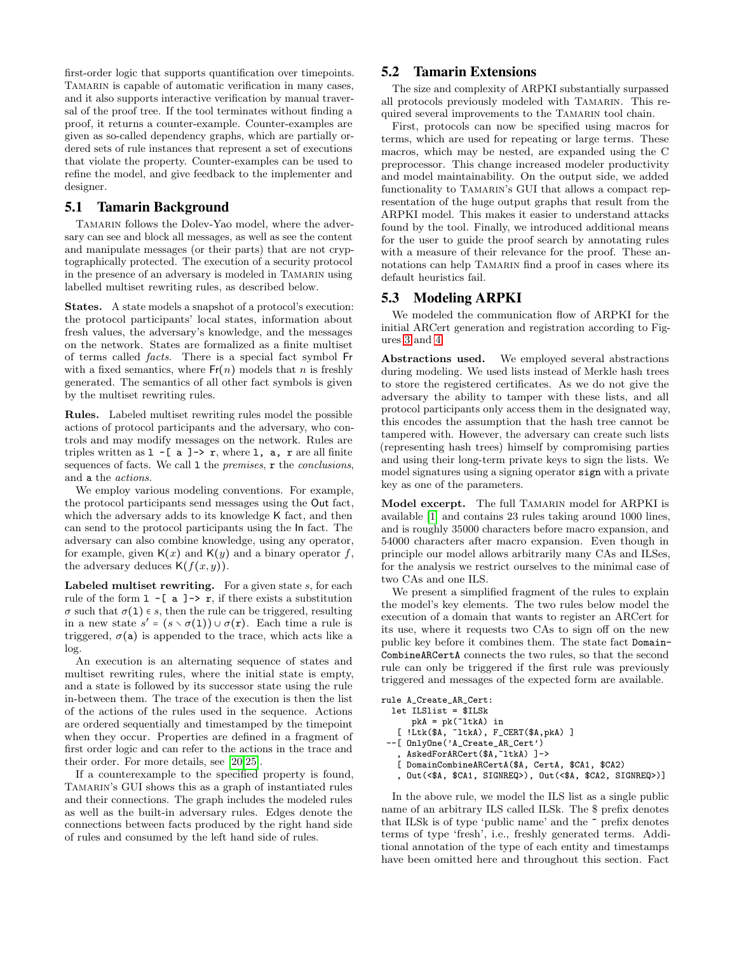first-order logic that supports quantification over timepoints. TAMARIN is capable of automatic verification in many cases, and it also supports interactive verification by manual traversal of the proof tree. If the tool terminates without finding a proof, it returns a counter-example. Counter-examples are given as so-called dependency graphs, which are partially ordered sets of rule instances that represent a set of executions that violate the property. Counter-examples can be used to refine the model, and give feedback to the implementer and designer.

#### 5.1 Tamarin Background

Tamarin follows the Dolev-Yao model, where the adversary can see and block all messages, as well as see the content and manipulate messages (or their parts) that are not cryptographically protected. The execution of a security protocol in the presence of an adversary is modeled in Tamarin using labelled multiset rewriting rules, as described below.

States. A state models a snapshot of a protocol's execution: the protocol participants' local states, information about fresh values, the adversary's knowledge, and the messages on the network. States are formalized as a finite multiset of terms called facts. There is a special fact symbol Fr with a fixed semantics, where  $\mathsf{Fr}(n)$  models that n is freshly generated. The semantics of all other fact symbols is given by the multiset rewriting rules.

Rules. Labeled multiset rewriting rules model the possible actions of protocol participants and the adversary, who controls and may modify messages on the network. Rules are triples written as  $1 - [a] \rightarrow r$ , where 1, a, r are all finite sequences of facts. We call  $1$  the *premises*,  $r$  the *conclusions*, and a the actions.

We employ various modeling conventions. For example, the protocol participants send messages using the Out fact, which the adversary adds to its knowledge K fact, and then can send to the protocol participants using the In fact. The adversary can also combine knowledge, using any operator, for example, given  $K(x)$  and  $K(y)$  and a binary operator f, the adversary deduces  $K(f(x, y))$ .

Labeled multiset rewriting. For a given state  $s$ , for each rule of the form  $1 - [a] \rightarrow r$ , if there exists a substitution σ such that σ(l) ∈ s, then the rule can be triggered, resulting in a new state  $s' = (s \setminus \sigma(1)) \cup \sigma(r)$ . Each time a rule is triggered,  $\sigma(\mathbf{a})$  is appended to the trace, which acts like a log.

An execution is an alternating sequence of states and multiset rewriting rules, where the initial state is empty, and a state is followed by its successor state using the rule in-between them. The trace of the execution is then the list of the actions of the rules used in the sequence. Actions are ordered sequentially and timestamped by the timepoint when they occur. Properties are defined in a fragment of first order logic and can refer to the actions in the trace and their order. For more details, see [\[20](#page-11-13)[,25\]](#page-11-14).

If a counterexample to the specified property is found, Tamarin's GUI shows this as a graph of instantiated rules and their connections. The graph includes the modeled rules as well as the built-in adversary rules. Edges denote the connections between facts produced by the right hand side of rules and consumed by the left hand side of rules.

## <span id="page-6-0"></span>5.2 Tamarin Extensions

The size and complexity of ARPKI substantially surpassed all protocols previously modeled with Tamarin. This required several improvements to the TAMARIN tool chain.

First, protocols can now be specified using macros for terms, which are used for repeating or large terms. These macros, which may be nested, are expanded using the C preprocessor. This change increased modeler productivity and model maintainability. On the output side, we added functionality to TAMARIN's GUI that allows a compact representation of the huge output graphs that result from the ARPKI model. This makes it easier to understand attacks found by the tool. Finally, we introduced additional means for the user to guide the proof search by annotating rules with a measure of their relevance for the proof. These annotations can help Tamarin find a proof in cases where its default heuristics fail.

## 5.3 Modeling ARPKI

We modeled the communication flow of ARPKI for the initial ARCert generation and registration according to Figures [3](#page-3-1) and [4.](#page-4-0)

Abstractions used. We employed several abstractions during modeling. We used lists instead of Merkle hash trees to store the registered certificates. As we do not give the adversary the ability to tamper with these lists, and all protocol participants only access them in the designated way, this encodes the assumption that the hash tree cannot be tampered with. However, the adversary can create such lists (representing hash trees) himself by compromising parties and using their long-term private keys to sign the lists. We model signatures using a signing operator sign with a private key as one of the parameters.

Model excerpt. The full Tamarin model for ARPKI is available [\[1\]](#page-10-1) and contains 23 rules taking around 1000 lines, and is roughly 35000 characters before macro expansion, and 54000 characters after macro expansion. Even though in principle our model allows arbitrarily many CAs and ILSes, for the analysis we restrict ourselves to the minimal case of two CAs and one ILS.

We present a simplified fragment of the rules to explain the model's key elements. The two rules below model the execution of a domain that wants to register an ARCert for its use, where it requests two CAs to sign off on the new public key before it combines them. The state fact Domain-CombineARCertA connects the two rules, so that the second rule can only be triggered if the first rule was previously triggered and messages of the expected form are available.

```
rule A_Create_AR_Cert:
  let ILSlist = $ILSk
      pkA = pk("ltkA) in[ !Ltk($A, ~ltkA), F_CERT($A,pkA) ]
 --[ OnlyOne('A_Create_AR_Cert')
     , AskedForARCert($A,~ltkA) ]->
   [ DomainCombineARCertA($A, CertA, $CA1, $CA2)
   , Out(<$A, $CA1, SIGNREQ>), Out(<$A, $CA2, SIGNREQ>)]
```
In the above rule, we model the ILS list as a single public name of an arbitrary ILS called ILSk. The \$ prefix denotes that ILSk is of type 'public name' and the ~ prefix denotes terms of type 'fresh', i.e., freshly generated terms. Additional annotation of the type of each entity and timestamps have been omitted here and throughout this section. Fact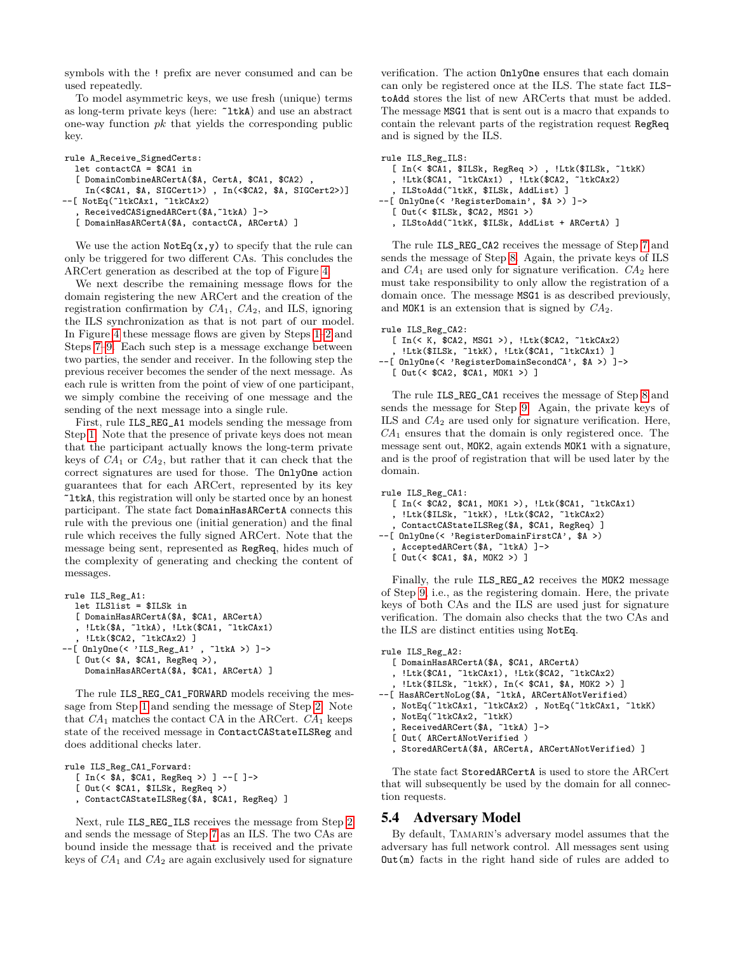symbols with the ! prefix are never consumed and can be used repeatedly.

To model asymmetric keys, we use fresh (unique) terms as long-term private keys (here: ~ltkA) and use an abstract one-way function  $pk$  that yields the corresponding public key.

| rule A_Receive_SignedCerts:                                                                                                                   |
|-----------------------------------------------------------------------------------------------------------------------------------------------|
| $let contactCA = $CA1 in$                                                                                                                     |
| [ DomainCombineARCertA(\$A, CertA, \$CA1, \$CA2),                                                                                             |
| $In(\text{\textless}\, 601, \text{\textless}\, 64, \text{SIGCert1>})$ , $In(\text{\textless}\, 601, \text{\textless}\, 64, \text{SIGCert2>})$ |
| --[ NotEq(~1tkCAx1, ~1tkCAx2)                                                                                                                 |
| , ReceivedCASignedARCert(\$A,~1tkA) ]->                                                                                                       |
| [ DomainHasARCertA(\$A, contactCA, ARCertA) ]                                                                                                 |

We use the action  $\text{NotEq}(x, y)$  to specify that the rule can only be triggered for two different CAs. This concludes the ARCert generation as described at the top of Figure [4.](#page-4-0)

We next describe the remaining message flows for the domain registering the new ARCert and the creation of the registration confirmation by  $CA_1$ ,  $CA_2$ , and ILS, ignoring the ILS synchronization as that is not part of our model. In Figure [4](#page-4-0) these message flows are given by Steps [1–](#page-4-1)[2](#page-4-2) and Steps [7](#page-4-6)[–9.](#page-4-7) Each such step is a message exchange between two parties, the sender and receiver. In the following step the previous receiver becomes the sender of the next message. As each rule is written from the point of view of one participant, we simply combine the receiving of one message and the sending of the next message into a single rule.

First, rule ILS\_REG\_A1 models sending the message from Step [1.](#page-4-1) Note that the presence of private keys does not mean that the participant actually knows the long-term private keys of  $CA_1$  or  $CA_2$ , but rather that it can check that the correct signatures are used for those. The OnlyOne action guarantees that for each ARCert, represented by its key ~ltkA, this registration will only be started once by an honest participant. The state fact DomainHasARCertA connects this rule with the previous one (initial generation) and the final rule which receives the fully signed ARCert. Note that the message being sent, represented as RegReq, hides much of the complexity of generating and checking the content of messages.

```
rule ILS_Reg_A1:
  let ILSlist = $ILSk in
  [ DomainHasARCertA($A, $CA1, ARCertA)
  , !Ltk($A, ~ltkA), !Ltk($CA1, ~ltkCAx1)
   !Ltk($CA2, ~ltkCAx2) ]
--[ OnlyOne(< 'ILS_Reg_A1' , "ltkA >) ]->
  [ Out(< $A, $CA1, RegReq >),
    DomainHasARCertA($A, $CA1, ARCertA) ]
```
The rule ILS\_REG\_CA1\_FORWARD models receiving the message from Step [1](#page-4-1) and sending the message of Step [2.](#page-4-2) Note that  $CA_1$  matches the contact CA in the ARCert.  $CA_1$  keeps state of the received message in ContactCAStateILSReg and does additional checks later.

```
rule ILS_Reg_CA1_Forward:
  [ In(< $A, $CA1, RegReq >) ] --[ ]->
  [ Out(< $CA1, $ILSk, RegReq >)
  , ContactCAStateILSReg($A, $CA1, RegReq) ]
```
Next, rule ILS\_REG\_ILS receives the message from Step [2](#page-4-2) and sends the message of Step [7](#page-4-6) as an ILS. The two CAs are bound inside the message that is received and the private keys of  $CA<sub>1</sub>$  and  $CA<sub>2</sub>$  are again exclusively used for signature verification. The action OnlyOne ensures that each domain can only be registered once at the ILS. The state fact ILStoAdd stores the list of new ARCerts that must be added. The message MSG1 that is sent out is a macro that expands to contain the relevant parts of the registration request RegReq and is signed by the ILS.

```
rule ILS_Reg_ILS:
```

```
[ In(< $CA1, $ILSk, RegReq >) , !Ltk($ILSk, ~ltkK)
    !Ltk($CA1, ~ltkCAx1), !Ltk($CA2, ~ltkCAx2)
    , ILStoAdd(~ltkK, $ILSk, AddList) ]
--[ OnlyOne(< 'RegisterDomain', $A >) ]->
```
[ Out(< \$ILSk, \$CA2, MSG1 >)

```
, ILStoAdd(~ltkK, $ILSk, AddList + ARCertA) ]
```
The rule ILS\_REG\_CA2 receives the message of Step [7](#page-4-6) and sends the message of Step [8.](#page-4-13) Again, the private keys of ILS and  $CA_1$  are used only for signature verification.  $CA_2$  here must take responsibility to only allow the registration of a domain once. The message MSG1 is as described previously, and MOK1 is an extension that is signed by  $CA<sub>2</sub>$ .

rule ILS\_Reg\_CA2: [ In(< K, \$CA2, MSG1 >), !Ltk(\$CA2, ~ltkCAx2) !Ltk(\$ILSk, ~ltkK), !Ltk(\$CA1, ~ltkCAx1) ] --[ OnlyOne(< 'RegisterDomainSecondCA', \$A >) ]-> [ Out(< \$CA2, \$CA1, MOK1 >) ]

The rule ILS\_REG\_CA1 receives the message of Step [8](#page-4-13) and sends the message for Step [9.](#page-4-7) Again, the private keys of ILS and  $CA<sub>2</sub>$  are used only for signature verification. Here,  $CA<sub>1</sub>$  ensures that the domain is only registered once. The message sent out, MOK2, again extends MOK1 with a signature, and is the proof of registration that will be used later by the domain.

```
rule ILS_Reg_CA1:
  [ In(< $CA2, $CA1, MOK1 >), !Ltk($CA1, ~ltkCAx1)
    , !Ltk($ILSk, ~ltkK), !Ltk($CA2, ~ltkCAx2)
    , ContactCAStateILSReg($A, $CA1, RegReq) ]
--[ OnlyOne(< 'RegisterDomainFirstCA', $A >)
   , AcceptedARCert($A, ~ltkA) ]->
```

```
[ Out(< $CA1, $A, MOK2 >) ]
```
Finally, the rule ILS\_REG\_A2 receives the MOK2 message of Step [9,](#page-4-7) i.e., as the registering domain. Here, the private keys of both CAs and the ILS are used just for signature verification. The domain also checks that the two CAs and the ILS are distinct entities using NotEq.

rule ILS\_Reg\_A2: [ DomainHasARCertA(\$A, \$CA1, ARCertA) , !Ltk(\$CA1, ~ltkCAx1), !Ltk(\$CA2, ~ltkCAx2) , !Ltk(\$ILSk, ~ltkK), In(< \$CA1, \$A, MOK2 >) ] --[ HasARCertNoLog(\$A, ~ltkA, ARCertANotVerified) , NotEq(~ltkCAx1, ~ltkCAx2) , NotEq(~ltkCAx1, ~ltkK) , NotEq(~ltkCAx2, ~ltkK) ReceivedARCert(\$A, ~ltkA) ]->

```
[ Out( ARCertANotVerified )
, StoredARCertA($A, ARCertA, ARCertANotVerified) ]
```
The state fact StoredARCertA is used to store the ARCert that will subsequently be used by the domain for all connection requests.

## 5.4 Adversary Model

By default, TAMARIN's adversary model assumes that the adversary has full network control. All messages sent using Out(m) facts in the right hand side of rules are added to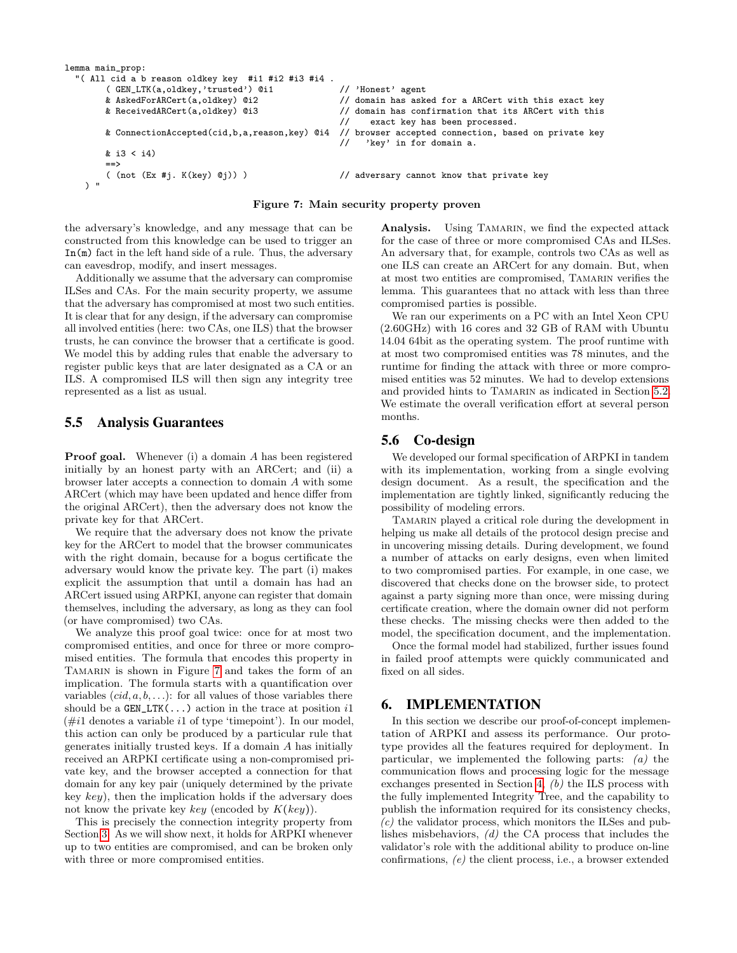```
lemma main_prop:
  "( All cid a b reason oldkey key #i1 #i2 #i3 #i4
       ( GEN_LTK(a,oldkey,'trusted') @i1 // 'Honest' agent
       & AskedForARCert(a,oldkey) @i2 // domain has asked for a ARCert with this exact key
                                                    // domain has confirmation that its ARCert with this
                                                   // exact key has been processed.
       & ConnectionAccepted(cid,b,a,reason,key) @i4 // browser accepted connection, based on private key
                                                   // 'key' in for domain a.
       & 13 < 14)
       ==><br>( (not (Ex #j. K(key) @j)) )
                                                   // adversary cannot know that private key
   ) "
```
<span id="page-8-1"></span>

the adversary's knowledge, and any message that can be constructed from this knowledge can be used to trigger an In(m) fact in the left hand side of a rule. Thus, the adversary can eavesdrop, modify, and insert messages.

Additionally we assume that the adversary can compromise ILSes and CAs. For the main security property, we assume that the adversary has compromised at most two such entities. It is clear that for any design, if the adversary can compromise all involved entities (here: two CAs, one ILS) that the browser trusts, he can convince the browser that a certificate is good. We model this by adding rules that enable the adversary to register public keys that are later designated as a CA or an ILS. A compromised ILS will then sign any integrity tree represented as a list as usual.

# 5.5 Analysis Guarantees

Proof goal. Whenever (i) a domain A has been registered initially by an honest party with an ARCert; and (ii) a browser later accepts a connection to domain A with some ARCert (which may have been updated and hence differ from the original ARCert), then the adversary does not know the private key for that ARCert.

We require that the adversary does not know the private key for the ARCert to model that the browser communicates with the right domain, because for a bogus certificate the adversary would know the private key. The part (i) makes explicit the assumption that until a domain has had an ARCert issued using ARPKI, anyone can register that domain themselves, including the adversary, as long as they can fool (or have compromised) two CAs.

We analyze this proof goal twice: once for at most two compromised entities, and once for three or more compromised entities. The formula that encodes this property in Tamarin is shown in Figure [7](#page-8-1) and takes the form of an implication. The formula starts with a quantification over variables  $(cid, a, b, \ldots)$ : for all values of those variables there should be a  $GEN_LTK(\ldots)$  action in the trace at position i1  $(\#i1$  denotes a variable  $i1$  of type 'timepoint'). In our model, this action can only be produced by a particular rule that generates initially trusted keys. If a domain A has initially received an ARPKI certificate using a non-compromised private key, and the browser accepted a connection for that domain for any key pair (uniquely determined by the private key key), then the implication holds if the adversary does not know the private key key (encoded by  $K(key)$ ).

This is precisely the connection integrity property from Section [3.](#page-2-0) As we will show next, it holds for ARPKI whenever up to two entities are compromised, and can be broken only with three or more compromised entities.

Analysis. Using TAMARIN, we find the expected attack for the case of three or more compromised CAs and ILSes. An adversary that, for example, controls two CAs as well as one ILS can create an ARCert for any domain. But, when at most two entities are compromised, Tamarin verifies the lemma. This guarantees that no attack with less than three compromised parties is possible.

We ran our experiments on a PC with an Intel Xeon CPU (2.60GHz) with 16 cores and 32 GB of RAM with Ubuntu 14.04 64bit as the operating system. The proof runtime with at most two compromised entities was 78 minutes, and the runtime for finding the attack with three or more compromised entities was 52 minutes. We had to develop extensions and provided hints to TAMARIN as indicated in Section [5.2.](#page-6-0) We estimate the overall verification effort at several person months.

## 5.6 Co-design

We developed our formal specification of ARPKI in tandem with its implementation, working from a single evolving design document. As a result, the specification and the implementation are tightly linked, significantly reducing the possibility of modeling errors.

Tamarin played a critical role during the development in helping us make all details of the protocol design precise and in uncovering missing details. During development, we found a number of attacks on early designs, even when limited to two compromised parties. For example, in one case, we discovered that checks done on the browser side, to protect against a party signing more than once, were missing during certificate creation, where the domain owner did not perform these checks. The missing checks were then added to the model, the specification document, and the implementation.

Once the formal model had stabilized, further issues found in failed proof attempts were quickly communicated and fixed on all sides.

# <span id="page-8-0"></span>6. IMPLEMENTATION

In this section we describe our proof-of-concept implementation of ARPKI and assess its performance. Our prototype provides all the features required for deployment. In particular, we implemented the following parts:  $(a)$  the communication flows and processing logic for the message exchanges presented in Section [4,](#page-3-0) (b) the ILS process with the fully implemented Integrity Tree, and the capability to publish the information required for its consistency checks,  $(c)$  the validator process, which monitors the ILSes and publishes misbehaviors, (d) the CA process that includes the validator's role with the additional ability to produce on-line confirmations, (e) the client process, i.e., a browser extended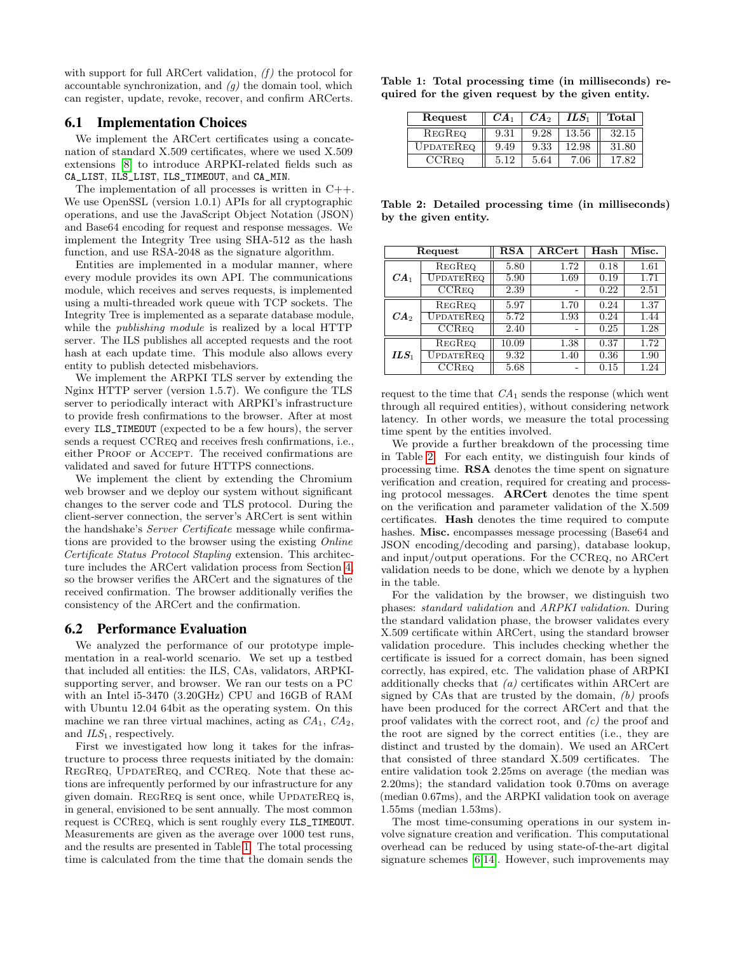with support for full ARCert validation,  $(f)$  the protocol for accountable synchronization, and  $(g)$  the domain tool, which can register, update, revoke, recover, and confirm ARCerts.

#### 6.1 Implementation Choices

We implement the ARCert certificates using a concatenation of standard X.509 certificates, where we used X.509 extensions [\[8\]](#page-10-11) to introduce ARPKI-related fields such as CA\_LIST, ILS\_LIST, ILS\_TIMEOUT, and CA\_MIN.

The implementation of all processes is written in C++. We use OpenSSL (version 1.0.1) APIs for all cryptographic operations, and use the JavaScript Object Notation (JSON) and Base64 encoding for request and response messages. We implement the Integrity Tree using SHA-512 as the hash function, and use RSA-2048 as the signature algorithm.

Entities are implemented in a modular manner, where every module provides its own API. The communications module, which receives and serves requests, is implemented using a multi-threaded work queue with TCP sockets. The Integrity Tree is implemented as a separate database module, while the *publishing module* is realized by a local HTTP server. The ILS publishes all accepted requests and the root hash at each update time. This module also allows every entity to publish detected misbehaviors.

We implement the ARPKI TLS server by extending the Nginx HTTP server (version 1.5.7). We configure the TLS server to periodically interact with ARPKI's infrastructure to provide fresh confirmations to the browser. After at most every ILS\_TIMEOUT (expected to be a few hours), the server sends a request CCReq and receives fresh confirmations, i.e., either PROOF or ACCEPT. The received confirmations are validated and saved for future HTTPS connections.

We implement the client by extending the Chromium web browser and we deploy our system without significant changes to the server code and TLS protocol. During the client-server connection, the server's ARCert is sent within the handshake's Server Certificate message while confirmations are provided to the browser using the existing Online Certificate Status Protocol Stapling extension. This architecture includes the ARCert validation process from Section [4,](#page-3-0) so the browser verifies the ARCert and the signatures of the received confirmation. The browser additionally verifies the consistency of the ARCert and the confirmation.

#### 6.2 Performance Evaluation

We analyzed the performance of our prototype implementation in a real-world scenario. We set up a testbed that included all entities: the ILS, CAs, validators, ARPKIsupporting server, and browser. We ran our tests on a PC with an Intel i5-3470 (3.20GHz) CPU and 16GB of RAM with Ubuntu 12.04 64bit as the operating system. On this machine we ran three virtual machines, acting as  $CA_1$ ,  $CA_2$ , and  $ILS<sub>1</sub>$ , respectively.

First we investigated how long it takes for the infrastructure to process three requests initiated by the domain: REGREQ, UPDATEREQ, and CCREQ. Note that these actions are infrequently performed by our infrastructure for any given domain. REGREQ is sent once, while UPDATEREQ is, in general, envisioned to be sent annually. The most common request is CCReq, which is sent roughly every ILS\_TIMEOUT. Measurements are given as the average over 1000 test runs, and the results are presented in Table [1.](#page-9-0) The total processing time is calculated from the time that the domain sends the

| Table 1: Total processing time (in milliseconds) re- |  |
|------------------------------------------------------|--|
| quired for the given request by the given entity.    |  |

<span id="page-9-0"></span>

| Request   | CA <sub>1</sub> | CA <sub>2</sub> | $ILS_1$ | Total |
|-----------|-----------------|-----------------|---------|-------|
| REGREQ    | 9.31            | 9.28            | 13.56   | 32.15 |
| UPDATEREQ | 9.49            | 9.33            | 12.98   | 31.80 |
| CCREO     | 512             | 5.64            | 7.06    | 17.82 |

<span id="page-9-1"></span>Table 2: Detailed processing time (in milliseconds) by the given entity.

| Request         |                            | RSA   | ARCert | Hash | Misc. |
|-----------------|----------------------------|-------|--------|------|-------|
|                 | REGREQ                     | 5.80  | 1.72   | 0.18 | 1.61  |
| CA <sub>1</sub> | UPDATEREO                  | 5.90  | 1.69   | 0.19 | 1.71  |
|                 | $\overline{\text{CCREQ}}$  | 2.39  |        | 0.22 | 2.51  |
| CA <sub>2</sub> | REGREQ                     | 5.97  | 1.70   | 0.24 | 1.37  |
|                 | UPDATEREO                  | 5.72  | 1.93   | 0.24 | 1.44  |
|                 | $C_{C}$ REQ                | 2.40  |        | 0.25 | 1.28  |
|                 | <b>REGREQ</b>              | 10.09 | 1.38   | 0.37 | 1.72  |
| $\bm{ILS}_1$    | UPDATEREO                  | 9.32  | 1.40   | 0.36 | 1.90  |
|                 | $\overline{\text{CCR}}$ EQ | 5.68  |        | 0.15 | 1.24  |

request to the time that  $CA<sub>1</sub>$  sends the response (which went through all required entities), without considering network latency. In other words, we measure the total processing time spent by the entities involved.

We provide a further breakdown of the processing time in Table [2.](#page-9-1) For each entity, we distinguish four kinds of processing time. RSA denotes the time spent on signature verification and creation, required for creating and processing protocol messages. ARCert denotes the time spent on the verification and parameter validation of the X.509 certificates. Hash denotes the time required to compute hashes. **Misc.** encompasses message processing (Base64 and JSON encoding/decoding and parsing), database lookup, and input/output operations. For the CCReq, no ARCert validation needs to be done, which we denote by a hyphen in the table.

For the validation by the browser, we distinguish two phases: standard validation and ARPKI validation. During the standard validation phase, the browser validates every X.509 certificate within ARCert, using the standard browser validation procedure. This includes checking whether the certificate is issued for a correct domain, has been signed correctly, has expired, etc. The validation phase of ARPKI additionally checks that (a) certificates within ARCert are signed by CAs that are trusted by the domain,  $(b)$  proofs have been produced for the correct ARCert and that the proof validates with the correct root, and  $(c)$  the proof and the root are signed by the correct entities (i.e., they are distinct and trusted by the domain). We used an ARCert that consisted of three standard X.509 certificates. The entire validation took 2.25ms on average (the median was 2.20ms); the standard validation took 0.70ms on average (median 0.67ms), and the ARPKI validation took on average 1.55ms (median 1.53ms).

The most time-consuming operations in our system involve signature creation and verification. This computational overhead can be reduced by using state-of-the-art digital signature schemes [\[6,](#page-10-12)[14\]](#page-11-15). However, such improvements may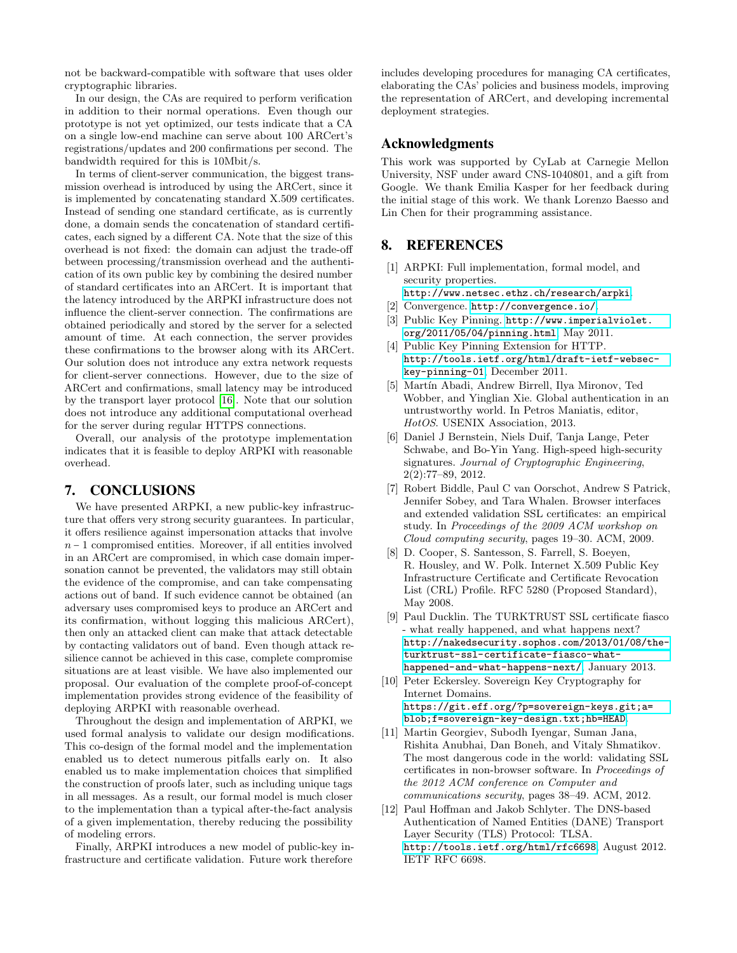not be backward-compatible with software that uses older cryptographic libraries.

In our design, the CAs are required to perform verification in addition to their normal operations. Even though our prototype is not yet optimized, our tests indicate that a CA on a single low-end machine can serve about 100 ARCert's registrations/updates and 200 confirmations per second. The bandwidth required for this is 10Mbit/s.

In terms of client-server communication, the biggest transmission overhead is introduced by using the ARCert, since it is implemented by concatenating standard X.509 certificates. Instead of sending one standard certificate, as is currently done, a domain sends the concatenation of standard certificates, each signed by a different CA. Note that the size of this overhead is not fixed: the domain can adjust the trade-off between processing/transmission overhead and the authentication of its own public key by combining the desired number of standard certificates into an ARCert. It is important that the latency introduced by the ARPKI infrastructure does not influence the client-server connection. The confirmations are obtained periodically and stored by the server for a selected amount of time. At each connection, the server provides these confirmations to the browser along with its ARCert. Our solution does not introduce any extra network requests for client-server connections. However, due to the size of ARCert and confirmations, small latency may be introduced by the transport layer protocol [\[16\]](#page-11-16). Note that our solution does not introduce any additional computational overhead for the server during regular HTTPS connections.

Overall, our analysis of the prototype implementation indicates that it is feasible to deploy ARPKI with reasonable overhead.

## <span id="page-10-2"></span>7. CONCLUSIONS

We have presented ARPKI, a new public-key infrastructure that offers very strong security guarantees. In particular, it offers resilience against impersonation attacks that involve  $n-1$  compromised entities. Moreover, if all entities involved in an ARCert are compromised, in which case domain impersonation cannot be prevented, the validators may still obtain the evidence of the compromise, and can take compensating actions out of band. If such evidence cannot be obtained (an adversary uses compromised keys to produce an ARCert and its confirmation, without logging this malicious ARCert), then only an attacked client can make that attack detectable by contacting validators out of band. Even though attack resilience cannot be achieved in this case, complete compromise situations are at least visible. We have also implemented our proposal. Our evaluation of the complete proof-of-concept implementation provides strong evidence of the feasibility of deploying ARPKI with reasonable overhead.

Throughout the design and implementation of ARPKI, we used formal analysis to validate our design modifications. This co-design of the formal model and the implementation enabled us to detect numerous pitfalls early on. It also enabled us to make implementation choices that simplified the construction of proofs later, such as including unique tags in all messages. As a result, our formal model is much closer to the implementation than a typical after-the-fact analysis of a given implementation, thereby reducing the possibility of modeling errors.

Finally, ARPKI introduces a new model of public-key infrastructure and certificate validation. Future work therefore

includes developing procedures for managing CA certificates, elaborating the CAs' policies and business models, improving the representation of ARCert, and developing incremental deployment strategies.

#### Acknowledgments

This work was supported by CyLab at Carnegie Mellon University, NSF under award CNS-1040801, and a gift from Google. We thank Emilia Kasper for her feedback during the initial stage of this work. We thank Lorenzo Baesso and Lin Chen for their programming assistance.

# 8. REFERENCES

- <span id="page-10-1"></span>[1] ARPKI: Full implementation, formal model, and security properties.
- <http://www.netsec.ethz.ch/research/arpki>.
- <span id="page-10-4"></span>[2] Convergence. <http://convergence.io/>.
- <span id="page-10-5"></span>[3] Public Key Pinning. [http://www.imperialviolet.](http://www.imperialviolet.org/2011/05/04/pinning.html) [org/2011/05/04/pinning.html](http://www.imperialviolet.org/2011/05/04/pinning.html), May 2011.
- <span id="page-10-6"></span>[4] Public Key Pinning Extension for HTTP. [http://tools.ietf.org/html/draft-ietf-websec](http://tools.ietf.org/html/draft-ietf-websec-key-pinning-01)[key-pinning-01](http://tools.ietf.org/html/draft-ietf-websec-key-pinning-01), December 2011.
- <span id="page-10-3"></span>[5] Martín Abadi, Andrew Birrell, Ilya Mironov, Ted Wobber, and Yinglian Xie. Global authentication in an untrustworthy world. In Petros Maniatis, editor, HotOS. USENIX Association, 2013.
- <span id="page-10-12"></span>[6] Daniel J Bernstein, Niels Duif, Tanja Lange, Peter Schwabe, and Bo-Yin Yang. High-speed high-security signatures. Journal of Cryptographic Engineering, 2(2):77–89, 2012.
- <span id="page-10-9"></span>[7] Robert Biddle, Paul C van Oorschot, Andrew S Patrick, Jennifer Sobey, and Tara Whalen. Browser interfaces and extended validation SSL certificates: an empirical study. In Proceedings of the 2009 ACM workshop on Cloud computing security, pages 19–30. ACM, 2009.
- <span id="page-10-11"></span>[8] D. Cooper, S. Santesson, S. Farrell, S. Boeyen, R. Housley, and W. Polk. Internet X.509 Public Key Infrastructure Certificate and Certificate Revocation List (CRL) Profile. RFC 5280 (Proposed Standard), May 2008.
- <span id="page-10-0"></span>[9] Paul Ducklin. The TURKTRUST SSL certificate fiasco - what really happened, and what happens next? [http://nakedsecurity.sophos.com/2013/01/08/the](http://nakedsecurity.sophos.com/2013/01/08/the-turktrust-ssl-certificate-fiasco-what-happened-and-what-happens-next/)[turktrust-ssl-certificate-fiasco-what](http://nakedsecurity.sophos.com/2013/01/08/the-turktrust-ssl-certificate-fiasco-what-happened-and-what-happens-next/)[happened-and-what-happens-next/](http://nakedsecurity.sophos.com/2013/01/08/the-turktrust-ssl-certificate-fiasco-what-happened-and-what-happens-next/), January 2013.
- <span id="page-10-8"></span>[10] Peter Eckersley. Sovereign Key Cryptography for Internet Domains. [https://git.eff.org/?p=sovereign-keys.git;a=](https://git.eff.org/?p=sovereign-keys.git;a=blob;f=sovereign-key-design.txt;hb=HEAD) [blob;f=sovereign-key-design.txt;hb=HEAD](https://git.eff.org/?p=sovereign-keys.git;a=blob;f=sovereign-key-design.txt;hb=HEAD).
- <span id="page-10-10"></span>[11] Martin Georgiev, Subodh Iyengar, Suman Jana, Rishita Anubhai, Dan Boneh, and Vitaly Shmatikov. The most dangerous code in the world: validating SSL certificates in non-browser software. In Proceedings of the 2012 ACM conference on Computer and communications security, pages 38–49. ACM, 2012.
- <span id="page-10-7"></span>[12] Paul Hoffman and Jakob Schlyter. The DNS-based Authentication of Named Entities (DANE) Transport Layer Security (TLS) Protocol: TLSA. <http://tools.ietf.org/html/rfc6698>, August 2012. IETF RFC 6698.